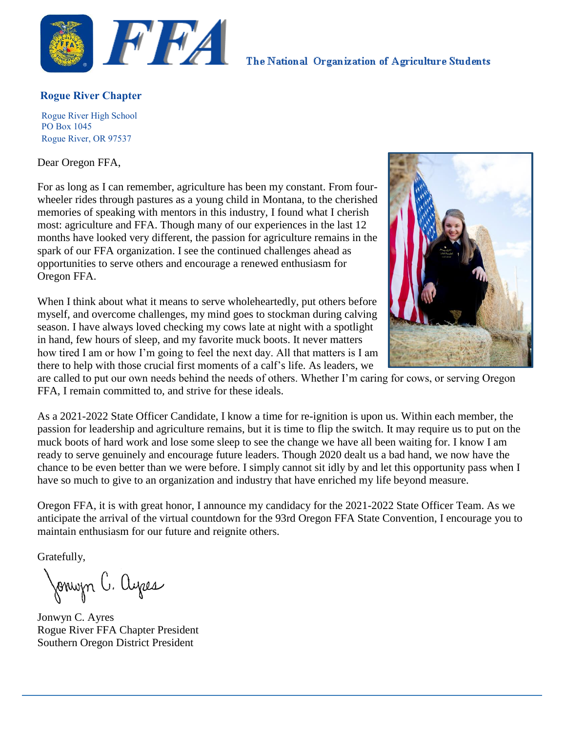

The National Organization of Agriculture Students

#### **Rogue River Chapter**

Rogue River High School PO Box 1045 Rogue River, OR 97537

Dear Oregon FFA,

For as long as I can remember, agriculture has been my constant. From fourwheeler rides through pastures as a young child in Montana, to the cherished memories of speaking with mentors in this industry, I found what I cherish most: agriculture and FFA. Though many of our experiences in the last 12 months have looked very different, the passion for agriculture remains in the spark of our FFA organization. I see the continued challenges ahead as opportunities to serve others and encourage a renewed enthusiasm for Oregon FFA.

When I think about what it means to serve wholeheartedly, put others before myself, and overcome challenges, my mind goes to stockman during calving season. I have always loved checking my cows late at night with a spotlight in hand, few hours of sleep, and my favorite muck boots. It never matters how tired I am or how I'm going to feel the next day. All that matters is I am there to help with those crucial first moments of a calf's life. As leaders, we



are called to put our own needs behind the needs of others. Whether I'm caring for cows, or serving Oregon FFA, I remain committed to, and strive for these ideals.

As a 2021-2022 State Officer Candidate, I know a time for re-ignition is upon us. Within each member, the passion for leadership and agriculture remains, but it is time to flip the switch. It may require us to put on the muck boots of hard work and lose some sleep to see the change we have all been waiting for. I know I am ready to serve genuinely and encourage future leaders. Though 2020 dealt us a bad hand, we now have the chance to be even better than we were before. I simply cannot sit idly by and let this opportunity pass when I have so much to give to an organization and industry that have enriched my life beyond measure.

Oregon FFA, it is with great honor, I announce my candidacy for the 2021-2022 State Officer Team. As we anticipate the arrival of the virtual countdown for the 93rd Oregon FFA State Convention, I encourage you to maintain enthusiasm for our future and reignite others.

Gratefully,

Jonwyn C. ayes

Jonwyn C. Ayres Rogue River FFA Chapter President Southern Oregon District President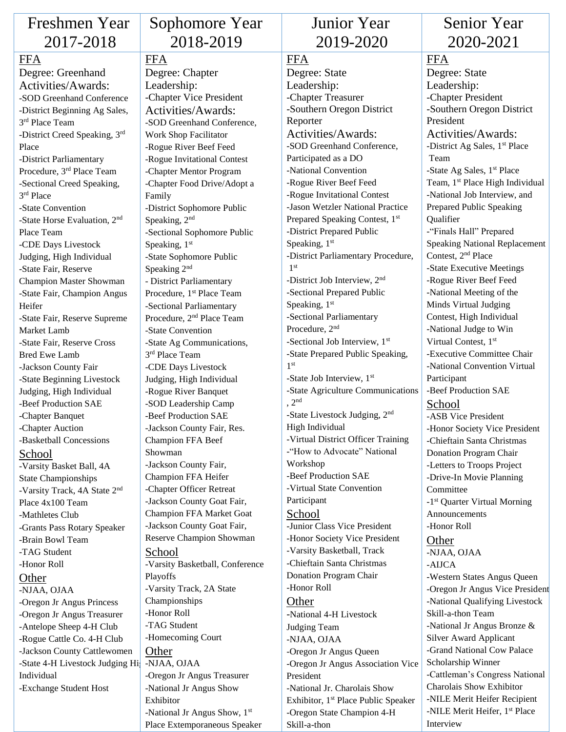| Freshmen Year                                          | S <sub>0</sub>    |
|--------------------------------------------------------|-------------------|
| 2017-2018                                              |                   |
| <b>FFA</b>                                             | FF/               |
| Degree: Greenhand                                      | Deg               |
| Activities/Awards:                                     | Lea               |
| -SOD Greenhand Conference                              | -Cha              |
| -District Beginning Ag Sales,                          | Act               |
| 3rd Place Team                                         | -SOI              |
| -District Creed Speaking, 3rd                          | Worl              |
| Place                                                  | -Rog              |
| -District Parliamentary                                | -Rog              |
| Procedure, 3rd Place Team                              | -Cha              |
| -Sectional Creed Speaking,                             | -Cha              |
| 3rd Place                                              | Fami              |
| -State Convention                                      | -Dist             |
| -State Horse Evaluation, 2 <sup>nd</sup>               | Spea              |
| Place Team                                             | -Sect             |
| -CDE Days Livestock                                    | Spea<br>-Stat     |
| Judging, High Individual<br>-State Fair, Reserve       | Spea              |
| <b>Champion Master Showman</b>                         | - Dis             |
| -State Fair, Champion Angus                            | Proc              |
| Heifer                                                 | -Sect             |
| -State Fair, Reserve Supreme                           | Proc              |
| Market Lamb                                            | -Stat             |
| -State Fair, Reserve Cross                             | -Stat             |
| <b>Bred Ewe Lamb</b>                                   | 3 <sup>rd</sup> P |
| -Jackson County Fair                                   | -CD <sub>l</sub>  |
| -State Beginning Livestock                             | Judg              |
| Judging, High Individual                               | -Rog              |
| -Beef Production SAE                                   | -SOI              |
| -Chapter Banquet                                       | -Bee              |
| -Chapter Auction                                       | -Jack             |
| -Basketball Concessions                                | Char              |
| School                                                 | Shov              |
| -Varsity Basket Ball, 4A                               | -Jack             |
| <b>State Championships</b>                             | Char              |
| -Varsity Track, 4A State 2 <sup>nd</sup>               | -Cha              |
| Place 4x100 Team                                       | -Jack             |
| -Mathletes Club                                        | Char              |
| -Grants Pass Rotary Speaker                            | -Jack             |
| -Brain Bowl Team                                       | Rese              |
| -TAG Student                                           | Sch               |
| -Honor Roll                                            | -Var              |
| Other                                                  | Play<br>-Var      |
| -NJAA, OJAA                                            | Char              |
| -Oregon Jr Angus Princess                              | -Hon              |
| -Oregon Jr Angus Treasurer<br>-Antelope Sheep 4-H Club | $-TA$             |
| -Rogue Cattle Co. 4-H Club                             | -Hor              |
| -Jackson County Cattlewomen                            | Oth               |
| -State 4-H Livestock Judging Hi                        | $-NJA$            |
| Individual                                             | $-Ore$            |
| -Exchange Student Host                                 | -Nati             |
|                                                        | Exhi              |
|                                                        | -Nati             |

## ophomore Year 2018-2019

#### $\mathbf{A}$

ree: Chapter dership: apter Vice President ivities/Awards: D Greenhand Conference, k Shop Facilitator ue River Beef Feed ue Invitational Contest pter Mentor Program pter Food Drive/Adopt a ily rict Sophomore Public Speaking, 2<sup>nd</sup> ional Sophomore Public king,  $1<sup>st</sup>$ e Sophomore Public king  $2<sup>nd</sup>$ strict Parliamentary edure, 1<sup>st</sup> Place Team tional Parliamentary edure, 2<sup>nd</sup> Place Team e Convention e Ag Communications, lace Team E Days Livestock ing, High Individual ue River Banquet D Leadership Camp f Production SAE son County Fair, Res. mpion FFA Beef  $v$ man son County Fair, mpion FFA Heifer pter Officer Retreat son County Goat Fair, mpion FFA Market Goat son County Goat Fair, erve Champion Showman ool sity Basketball, Conference offs sity Track, 2A State mpionships or Roll G Student necoming Court ler AA, OJAA gon Jr Angus Treasurer onal Jr Angus Show bitor  $\alpha$ ional Jr Angus Show,  $1<sup>st</sup>$ 

Place Extemporaneous Speaker

### Junior Year 2019-2020

### **FFA**

Degree: State Leadership: -Chapter Treasurer -Southern Oregon District Reporter Activities/Awards: -SOD Greenhand Conference, Participated as a DO -National Convention -Rogue River Beef Feed -Rogue Invitational Contest -Jason Wetzler National Practice Prepared Speaking Contest, 1st -District Prepared Public Speaking, 1st -District Parliamentary Procedure, 1 st -District Job Interview, 2nd -Sectional Prepared Public Speaking, 1st -Sectional Parliamentary Procedure, 2<sup>nd</sup> -Sectional Job Interview, 1st -State Prepared Public Speaking, 1 st -State Job Interview, 1st -State Agriculture Communications , 2nd -State Livestock Judging, 2nd High Individual -Virtual District Officer Training -"How to Advocate" National Workshop -Beef Production SAE -Virtual State Convention Participant School -Junior Class Vice President -Honor Society Vice President -Varsity Basketball, Track -Chieftain Santa Christmas Donation Program Chair -Honor Roll **Other** -National 4-H Livestock Judging Team -NJAA, OJAA -Oregon Jr Angus Queen -Oregon Jr Angus Association Vice President -National Jr. Charolais Show

Exhibitor, 1<sup>st</sup> Place Public Speaker -Oregon State Champion 4-H

Skill-a-thon

# Senior Year 2020-2021

FFA Degree: State Leadership: -Chapter President -Southern Oregon District President Activities/Awards: -District Ag Sales, 1<sup>st</sup> Place Team -State Ag Sales, 1<sup>st</sup> Place Team, 1<sup>st</sup> Place High Individual -National Job Interview, and Prepared Public Speaking Qualifier -"Finals Hall" Prepared Speaking National Replacement Contest, 2nd Place -State Executive Meetings -Rogue River Beef Feed -National Meeting of the Minds Virtual Judging Contest, High Individual -National Judge to Win Virtual Contest, 1st -Executive Committee Chair -National Convention Virtual Participant -Beef Production SAE **School** -ASB Vice President -Honor Society Vice President -Chieftain Santa Christmas Donation Program Chair -Letters to Troops Project -Drive-In Movie Planning Committee -1 st Quarter Virtual Morning Announcements -Honor Roll Other -NJAA, OJAA -AIJCA -Western States Angus Queen -Oregon Jr Angus Vice President -National Qualifying Livestock Skill-a-thon Team -National Jr Angus Bronze & Silver Award Applicant -Grand National Cow Palace Scholarship Winner -Cattleman's Congress National Charolais Show Exhibitor

-NILE Merit Heifer Recipient -NILE Merit Heifer, 1<sup>st</sup> Place

Interview